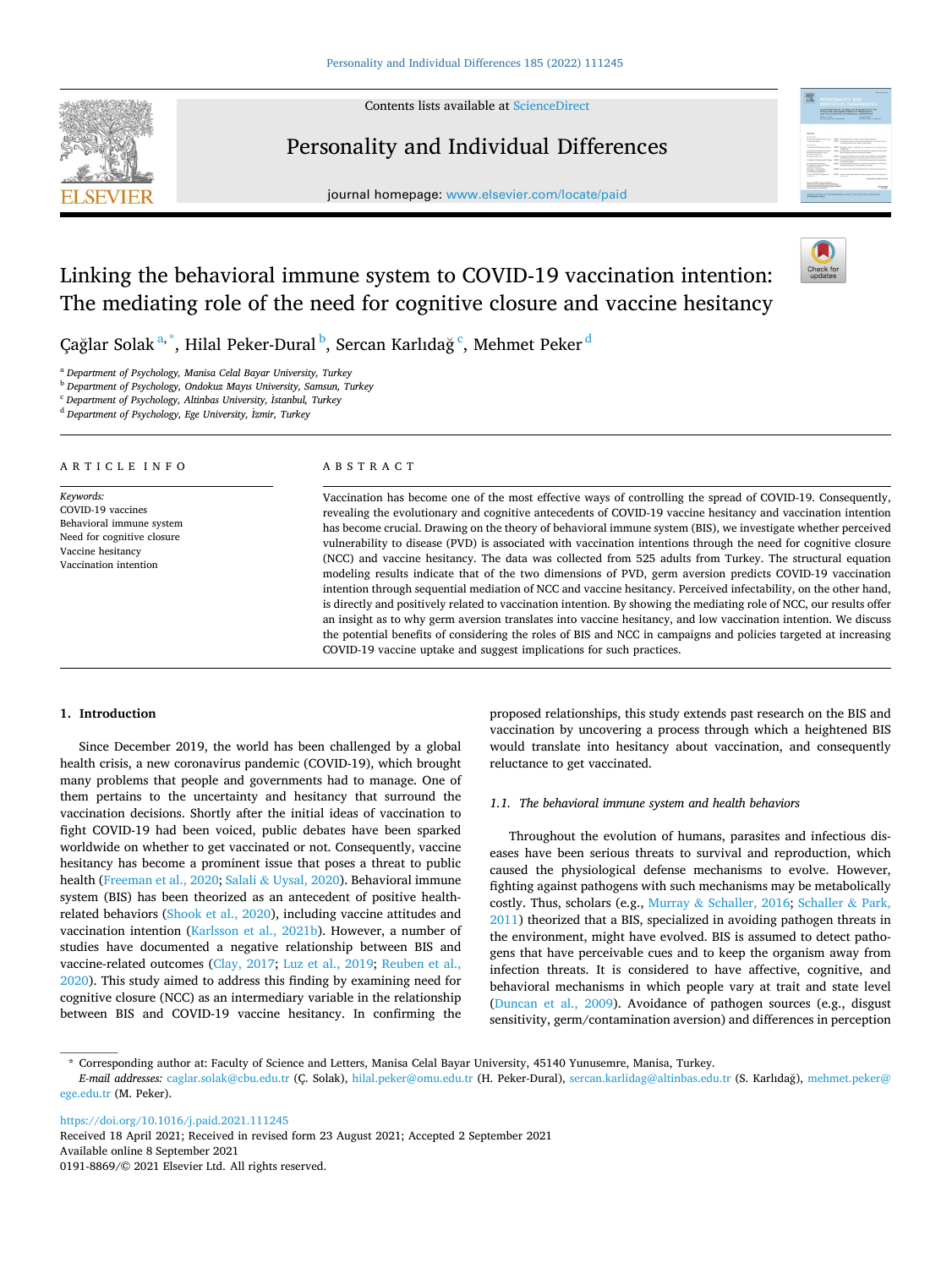

Contents lists available at [ScienceDirect](www.sciencedirect.com/science/journal/01918869)

## Personality and Individual Differences

journal homepage: [www.elsevier.com/locate/paid](https://www.elsevier.com/locate/paid)



# Linking the behavioral immune system to COVID-19 vaccination intention: The mediating role of the need for cognitive closure and vaccine hesitancy



Çağlar Solak <sup>a, \*</sup>, Hilal Peker-Dural <sup>b</sup>, Sercan Karlıdağ <sup>c</sup>, Mehmet Peker <sup>d</sup>

<sup>a</sup> *Department of Psychology, Manisa Celal Bayar University, Turkey* 

<sup>b</sup> *Department of Psychology, Ondokuz Mayıs University, Samsun, Turkey* 

<sup>c</sup> *Department of Psychology, Altinbas University,* ˙ *Istanbul, Turkey* 

<sup>d</sup> *Department of Psychology, Ege University,* ˙ *Izmir, Turkey* 

#### ARTICLE INFO *Keywords:*  COVID-19 vaccines Behavioral immune system Need for cognitive closure Vaccine hesitancy Vaccination intention ABSTRACT Vaccination has become one of the most effective ways of controlling the spread of COVID-19. Consequently, revealing the evolutionary and cognitive antecedents of COVID-19 vaccine hesitancy and vaccination intention has become crucial. Drawing on the theory of behavioral immune system (BIS), we investigate whether perceived vulnerability to disease (PVD) is associated with vaccination intentions through the need for cognitive closure (NCC) and vaccine hesitancy. The data was collected from 525 adults from Turkey. The structural equation modeling results indicate that of the two dimensions of PVD, germ aversion predicts COVID-19 vaccination intention through sequential mediation of NCC and vaccine hesitancy. Perceived infectability, on the other hand, is directly and positively related to vaccination intention. By showing the mediating role of NCC, our results offer an insight as to why germ aversion translates into vaccine hesitancy, and low vaccination intention. We discuss the potential benefits of considering the roles of BIS and NCC in campaigns and policies targeted at increasing

COVID-19 vaccine uptake and suggest implications for such practices.

## **1. Introduction**

Since December 2019, the world has been challenged by a global health crisis, a new coronavirus pandemic (COVID-19), which brought many problems that people and governments had to manage. One of them pertains to the uncertainty and hesitancy that surround the vaccination decisions. Shortly after the initial ideas of vaccination to fight COVID-19 had been voiced, public debates have been sparked worldwide on whether to get vaccinated or not. Consequently, vaccine hesitancy has become a prominent issue that poses a threat to public health ([Freeman et al., 2020;](#page-4-0) Salali & [Uysal, 2020\)](#page-4-0). Behavioral immune system (BIS) has been theorized as an antecedent of positive healthrelated behaviors ([Shook et al., 2020\)](#page-4-0), including vaccine attitudes and vaccination intention ([Karlsson et al., 2021b\)](#page-4-0). However, a number of studies have documented a negative relationship between BIS and vaccine-related outcomes ([Clay, 2017](#page-4-0); [Luz et al., 2019;](#page-4-0) [Reuben et al.,](#page-4-0)  [2020\)](#page-4-0). This study aimed to address this finding by examining need for cognitive closure (NCC) as an intermediary variable in the relationship between BIS and COVID-19 vaccine hesitancy. In confirming the

proposed relationships, this study extends past research on the BIS and vaccination by uncovering a process through which a heightened BIS would translate into hesitancy about vaccination, and consequently reluctance to get vaccinated.

## *1.1. The behavioral immune system and health behaviors*

Throughout the evolution of humans, parasites and infectious diseases have been serious threats to survival and reproduction, which caused the physiological defense mechanisms to evolve. However, fighting against pathogens with such mechanisms may be metabolically costly. Thus, scholars (e.g., Murray & [Schaller, 2016;](#page-4-0) [Schaller](#page-4-0) & Park, [2011\)](#page-4-0) theorized that a BIS, specialized in avoiding pathogen threats in the environment, might have evolved. BIS is assumed to detect pathogens that have perceivable cues and to keep the organism away from infection threats. It is considered to have affective, cognitive, and behavioral mechanisms in which people vary at trait and state level ([Duncan et al., 2009\)](#page-4-0). Avoidance of pathogen sources (e.g., disgust sensitivity, germ/contamination aversion) and differences in perception

<https://doi.org/10.1016/j.paid.2021.111245>

Available online 8 September 2021 0191-8869/© 2021 Elsevier Ltd. All rights reserved. Received 18 April 2021; Received in revised form 23 August 2021; Accepted 2 September 2021

<sup>\*</sup> Corresponding author at: Faculty of Science and Letters, Manisa Celal Bayar University, 45140 Yunusemre, Manisa, Turkey.

E-mail addresses: [caglar.solak@cbu.edu.tr](mailto:caglar.solak@cbu.edu.tr) (Ç. Solak), [hilal.peker@omu.edu.tr](mailto:hilal.peker@omu.edu.tr) (H. Peker-Dural), [sercan.karlidag@altinbas.edu.tr](mailto:sercan.karlidag@altinbas.edu.tr) (S. Karlıdağ), mehmet.peker@ [ege.edu.tr](mailto:mehmet.peker@ege.edu.tr) (M. Peker).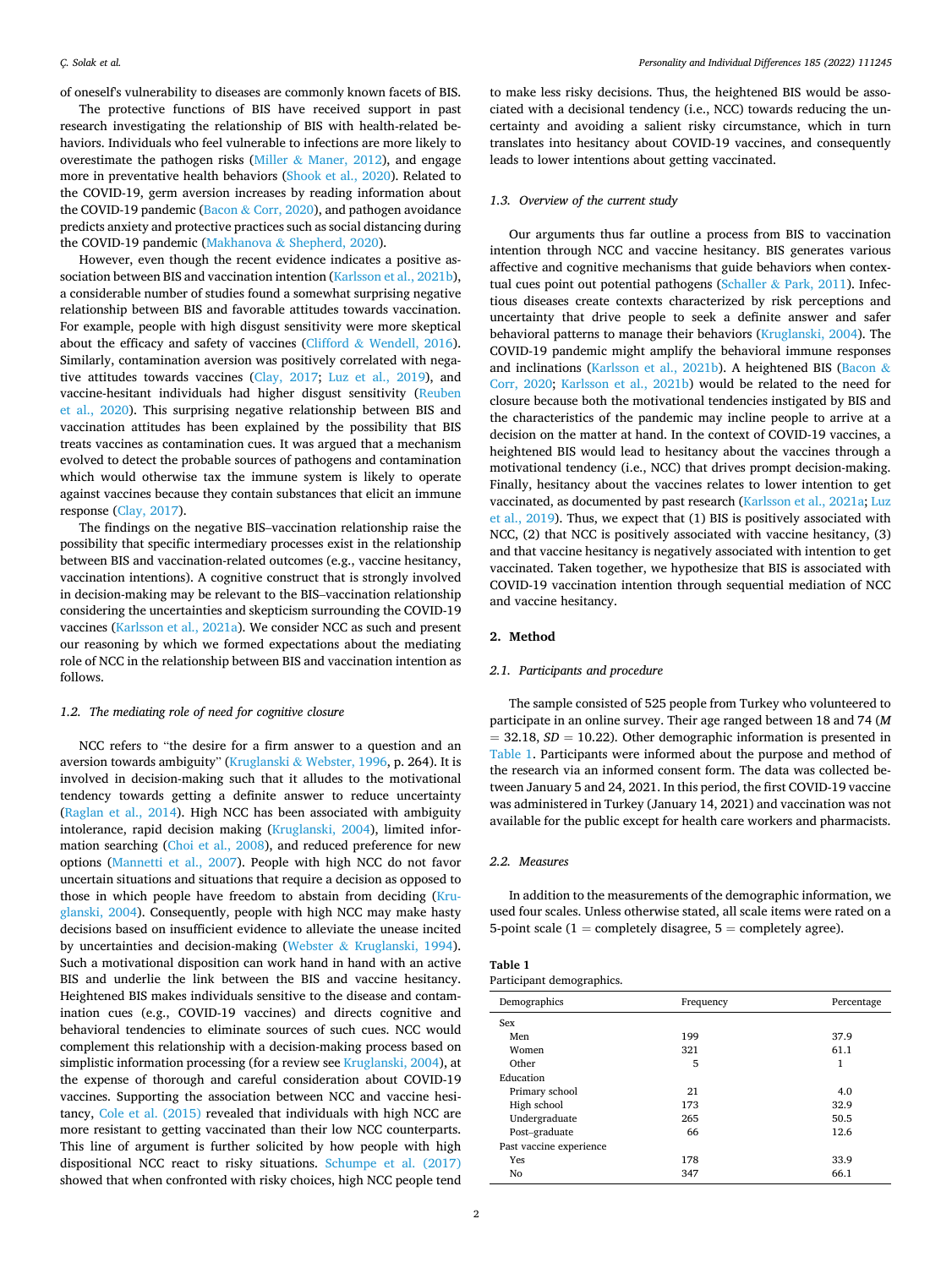of oneself's vulnerability to diseases are commonly known facets of BIS.

The protective functions of BIS have received support in past research investigating the relationship of BIS with health-related behaviors. Individuals who feel vulnerable to infections are more likely to overestimate the pathogen risks (Miller  $&$  [Maner, 2012](#page-4-0)), and engage more in preventative health behaviors [\(Shook et al., 2020\)](#page-4-0). Related to the COVID-19, germ aversion increases by reading information about the COVID-19 pandemic (Bacon & [Corr, 2020](#page-4-0)), and pathogen avoidance predicts anxiety and protective practices such as social distancing during the COVID-19 pandemic (Makhanova & [Shepherd, 2020\)](#page-4-0).

However, even though the recent evidence indicates a positive association between BIS and vaccination intention ([Karlsson et al., 2021b](#page-4-0)), a considerable number of studies found a somewhat surprising negative relationship between BIS and favorable attitudes towards vaccination. For example, people with high disgust sensitivity were more skeptical about the efficacy and safety of vaccines (Clifford  $&$  [Wendell, 2016](#page-4-0)). Similarly, contamination aversion was positively correlated with negative attitudes towards vaccines [\(Clay, 2017](#page-4-0); [Luz et al., 2019](#page-4-0)), and vaccine-hesitant individuals had higher disgust sensitivity [\(Reuben](#page-4-0)  [et al., 2020\)](#page-4-0). This surprising negative relationship between BIS and vaccination attitudes has been explained by the possibility that BIS treats vaccines as contamination cues. It was argued that a mechanism evolved to detect the probable sources of pathogens and contamination which would otherwise tax the immune system is likely to operate against vaccines because they contain substances that elicit an immune response ([Clay, 2017\)](#page-4-0).

The findings on the negative BIS–vaccination relationship raise the possibility that specific intermediary processes exist in the relationship between BIS and vaccination-related outcomes (e.g., vaccine hesitancy, vaccination intentions). A cognitive construct that is strongly involved in decision-making may be relevant to the BIS–vaccination relationship considering the uncertainties and skepticism surrounding the COVID-19 vaccines ([Karlsson et al., 2021a\)](#page-4-0). We consider NCC as such and present our reasoning by which we formed expectations about the mediating role of NCC in the relationship between BIS and vaccination intention as follows.

#### *1.2. The mediating role of need for cognitive closure*

NCC refers to "the desire for a firm answer to a question and an aversion towards ambiguity" (Kruglanski & [Webster, 1996](#page-4-0), p. 264). It is involved in decision-making such that it alludes to the motivational tendency towards getting a definite answer to reduce uncertainty ([Raglan et al., 2014\)](#page-4-0). High NCC has been associated with ambiguity intolerance, rapid decision making [\(Kruglanski, 2004\)](#page-4-0), limited information searching ([Choi et al., 2008\)](#page-4-0), and reduced preference for new options [\(Mannetti et al., 2007](#page-4-0)). People with high NCC do not favor uncertain situations and situations that require a decision as opposed to those in which people have freedom to abstain from deciding [\(Kru](#page-4-0)[glanski, 2004\)](#page-4-0). Consequently, people with high NCC may make hasty decisions based on insufficient evidence to alleviate the unease incited by uncertainties and decision-making (Webster & [Kruglanski, 1994](#page-4-0)). Such a motivational disposition can work hand in hand with an active BIS and underlie the link between the BIS and vaccine hesitancy. Heightened BIS makes individuals sensitive to the disease and contamination cues (e.g., COVID-19 vaccines) and directs cognitive and behavioral tendencies to eliminate sources of such cues. NCC would complement this relationship with a decision-making process based on simplistic information processing (for a review see [Kruglanski, 2004\)](#page-4-0), at the expense of thorough and careful consideration about COVID-19 vaccines. Supporting the association between NCC and vaccine hesitancy, [Cole et al. \(2015\)](#page-4-0) revealed that individuals with high NCC are more resistant to getting vaccinated than their low NCC counterparts. This line of argument is further solicited by how people with high dispositional NCC react to risky situations. [Schumpe et al. \(2017\)](#page-4-0)  showed that when confronted with risky choices, high NCC people tend to make less risky decisions. Thus, the heightened BIS would be associated with a decisional tendency (i.e., NCC) towards reducing the uncertainty and avoiding a salient risky circumstance, which in turn translates into hesitancy about COVID-19 vaccines, and consequently leads to lower intentions about getting vaccinated.

#### *1.3. Overview of the current study*

Our arguments thus far outline a process from BIS to vaccination intention through NCC and vaccine hesitancy. BIS generates various affective and cognitive mechanisms that guide behaviors when contex-tual cues point out potential pathogens (Schaller & [Park, 2011\)](#page-4-0). Infectious diseases create contexts characterized by risk perceptions and uncertainty that drive people to seek a definite answer and safer behavioral patterns to manage their behaviors [\(Kruglanski, 2004\)](#page-4-0). The COVID-19 pandemic might amplify the behavioral immune responses and inclinations [\(Karlsson et al., 2021b\)](#page-4-0). A heightened BIS ([Bacon](#page-4-0) & [Corr, 2020;](#page-4-0) [Karlsson et al., 2021b](#page-4-0)) would be related to the need for closure because both the motivational tendencies instigated by BIS and the characteristics of the pandemic may incline people to arrive at a decision on the matter at hand. In the context of COVID-19 vaccines, a heightened BIS would lead to hesitancy about the vaccines through a motivational tendency (i.e., NCC) that drives prompt decision-making. Finally, hesitancy about the vaccines relates to lower intention to get vaccinated, as documented by past research [\(Karlsson et al., 2021a; Luz](#page-4-0)  [et al., 2019](#page-4-0)). Thus, we expect that (1) BIS is positively associated with NCC, (2) that NCC is positively associated with vaccine hesitancy, (3) and that vaccine hesitancy is negatively associated with intention to get vaccinated. Taken together, we hypothesize that BIS is associated with COVID-19 vaccination intention through sequential mediation of NCC and vaccine hesitancy.

## **2. Method**

## *2.1. Participants and procedure*

The sample consisted of 525 people from Turkey who volunteered to participate in an online survey. Their age ranged between 18 and 74 (*M*  = 32.18, *SD* = 10.22). Other demographic information is presented in Table 1. Participants were informed about the purpose and method of the research via an informed consent form. The data was collected between January 5 and 24, 2021. In this period, the first COVID-19 vaccine was administered in Turkey (January 14, 2021) and vaccination was not available for the public except for health care workers and pharmacists.

## *2.2. Measures*

In addition to the measurements of the demographic information, we used four scales. Unless otherwise stated, all scale items were rated on a 5-point scale ( $1 =$  completely disagree,  $5 =$  completely agree).

| Table 1 |                           |
|---------|---------------------------|
|         | Participant demographics. |

| Demographics            | Frequency | Percentage |  |
|-------------------------|-----------|------------|--|
| Sex                     |           |            |  |
| Men                     | 199       | 37.9       |  |
| Women                   | 321       | 61.1       |  |
| Other                   | 5         | 1          |  |
| Education               |           |            |  |
| Primary school          | 21        | 4.0        |  |
| High school             | 173       | 32.9       |  |
| Undergraduate           | 265       | 50.5       |  |
| Post-graduate           | 66        | 12.6       |  |
| Past vaccine experience |           |            |  |
| Yes                     | 178       | 33.9       |  |
| No                      | 347       | 66.1       |  |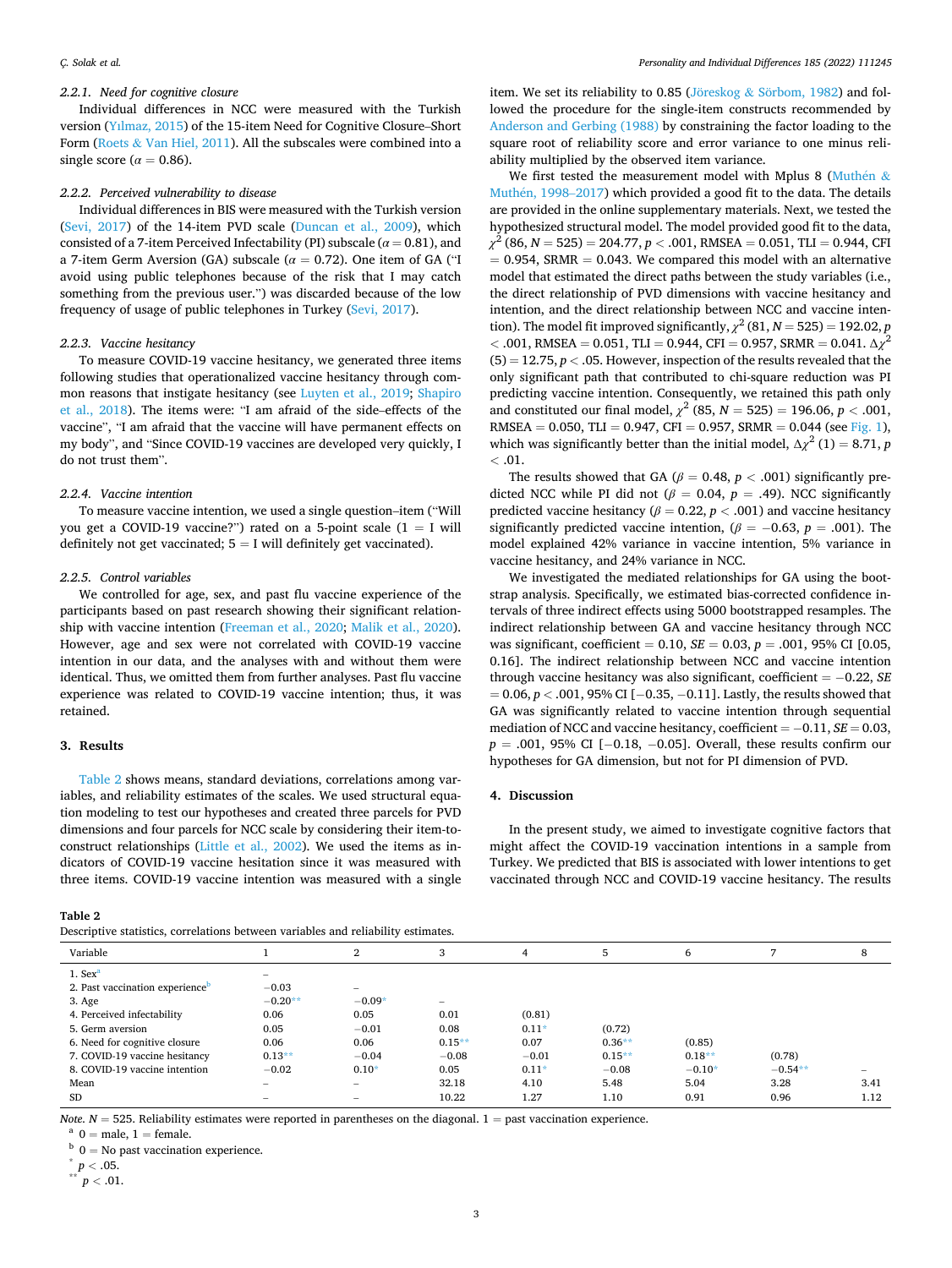## *2.2.1. Need for cognitive closure*

Individual differences in NCC were measured with the Turkish version [\(Yılmaz, 2015\)](#page-4-0) of the 15-item Need for Cognitive Closure–Short Form (Roets & [Van Hiel, 2011](#page-4-0)). All the subscales were combined into a single score ( $\alpha = 0.86$ ).

#### *2.2.2. Perceived vulnerability to disease*

Individual differences in BIS were measured with the Turkish version ([Sevi, 2017](#page-4-0)) of the 14-item PVD scale [\(Duncan et al., 2009](#page-4-0)), which consisted of a 7-item Perceived Infectability (PI) subscale (*α* = 0.81), and a 7-item Germ Aversion (GA) subscale (*α* = 0.72). One item of GA ("I avoid using public telephones because of the risk that I may catch something from the previous user.") was discarded because of the low frequency of usage of public telephones in Turkey ([Sevi, 2017](#page-4-0)).

#### *2.2.3. Vaccine hesitancy*

To measure COVID-19 vaccine hesitancy, we generated three items following studies that operationalized vaccine hesitancy through common reasons that instigate hesitancy (see [Luyten et al., 2019](#page-4-0); [Shapiro](#page-4-0)  [et al., 2018\)](#page-4-0). The items were: "I am afraid of the side–effects of the vaccine", "I am afraid that the vaccine will have permanent effects on my body", and "Since COVID-19 vaccines are developed very quickly, I do not trust them".

## *2.2.4. Vaccine intention*

To measure vaccine intention, we used a single question–item ("Will you get a COVID-19 vaccine?") rated on a 5-point scale  $(1 = I$  will definitely not get vaccinated;  $5 = I$  will definitely get vaccinated).

#### *2.2.5. Control variables*

We controlled for age, sex, and past flu vaccine experience of the participants based on past research showing their significant relationship with vaccine intention ([Freeman et al., 2020;](#page-4-0) [Malik et al., 2020](#page-4-0)). However, age and sex were not correlated with COVID-19 vaccine intention in our data, and the analyses with and without them were identical. Thus, we omitted them from further analyses. Past flu vaccine experience was related to COVID-19 vaccine intention; thus, it was retained.

#### **3. Results**

Table 2 shows means, standard deviations, correlations among variables, and reliability estimates of the scales. We used structural equation modeling to test our hypotheses and created three parcels for PVD dimensions and four parcels for NCC scale by considering their item-toconstruct relationships [\(Little et al., 2002\)](#page-4-0). We used the items as indicators of COVID-19 vaccine hesitation since it was measured with three items. COVID-19 vaccine intention was measured with a single

**Table 2** 

item. We set its reliability to 0.85 (Jöreskog  $&$  Sörbom, 1982) and followed the procedure for the single-item constructs recommended by [Anderson and Gerbing \(1988\)](#page-4-0) by constraining the factor loading to the square root of reliability score and error variance to one minus reliability multiplied by the observed item variance.

We first tested the measurement model with Mplus 8 ([Muth](#page-4-0)én  $&$ Muthén, 1998–2017) which provided a good fit to the data. The details are provided in the online supplementary materials. Next, we tested the hypothesized structural model. The model provided good fit to the data, *χ*2 (86, *N* = 525) = 204.77, *p <* .001, RMSEA = 0.051, TLI = 0.944, CFI  $= 0.954$ , SRMR  $= 0.043$ . We compared this model with an alternative model that estimated the direct paths between the study variables (i.e., the direct relationship of PVD dimensions with vaccine hesitancy and intention, and the direct relationship between NCC and vaccine intention). The model fit improved significantly,  $\chi^2$  (81, *N* = 525) = 192.02, *p*  $<$  .001, RMSEA = 0.051, TLI = 0.944, CFI = 0.957, SRMR = 0.041. Δ*χ*<sup>2</sup>  $(5) = 12.75, p < .05$ . However, inspection of the results revealed that the only significant path that contributed to chi-square reduction was PI predicting vaccine intention. Consequently, we retained this path only and constituted our final model,  $\chi^2$  (85, *N* = 525) = 196.06, *p* < .001, RMSEA =  $0.050$ , TLI =  $0.947$ , CFI =  $0.957$ , SRMR =  $0.044$  (see [Fig. 1](#page-3-0)), which was significantly better than the initial model,  $\Delta \chi^2$  (1) = 8.71, *p*  $<$  .01.

The results showed that GA ( $\beta$  = 0.48,  $p$  < .001) significantly predicted NCC while PI did not ( $\beta = 0.04$ ,  $p = .49$ ). NCC significantly predicted vaccine hesitancy ( $\beta$  = 0.22,  $p$  < .001) and vaccine hesitancy significantly predicted vaccine intention,  $(\beta = -0.63, p = .001)$ . The model explained 42% variance in vaccine intention, 5% variance in vaccine hesitancy, and 24% variance in NCC.

We investigated the mediated relationships for GA using the bootstrap analysis. Specifically, we estimated bias-corrected confidence intervals of three indirect effects using 5000 bootstrapped resamples. The indirect relationship between GA and vaccine hesitancy through NCC was significant, coefficient = 0.10, *SE* = 0.03, *p* = .001, 95% CI [0.05, 0.16]. The indirect relationship between NCC and vaccine intention through vaccine hesitancy was also significant, coefficient = − 0.22, *SE*  = 0.06, *p <* .001, 95% CI [− 0.35, − 0.11]. Lastly, the results showed that GA was significantly related to vaccine intention through sequential mediation of NCC and vaccine hesitancy, coefficient = − 0.11, *SE* = 0.03, *p* = .001, 95% CI [−0.18, −0.05]. Overall, these results confirm our hypotheses for GA dimension, but not for PI dimension of PVD.

#### **4. Discussion**

In the present study, we aimed to investigate cognitive factors that might affect the COVID-19 vaccination intentions in a sample from Turkey. We predicted that BIS is associated with lower intentions to get vaccinated through NCC and COVID-19 vaccine hesitancy. The results

| Variable                                    |                          | 2                        | 3                        |         | $\mathcal{D}$ | 6        |           | 8                        |
|---------------------------------------------|--------------------------|--------------------------|--------------------------|---------|---------------|----------|-----------|--------------------------|
| $1.$ Sex <sup>a</sup>                       |                          |                          |                          |         |               |          |           |                          |
| 2. Past vaccination experience <sup>p</sup> | $-0.03$                  | $\qquad \qquad$          |                          |         |               |          |           |                          |
| 3. Age                                      | $-0.20**$                | $-0.09*$                 | $\overline{\phantom{0}}$ |         |               |          |           |                          |
| 4. Perceived infectability                  | 0.06                     | 0.05                     | 0.01                     | (0.81)  |               |          |           |                          |
| 5. Germ aversion                            | 0.05                     | $-0.01$                  | 0.08                     | $0.11*$ | (0.72)        |          |           |                          |
| 6. Need for cognitive closure               | 0.06                     | 0.06                     | $0.15**$                 | 0.07    | $0.36**$      | (0.85)   |           |                          |
| 7. COVID-19 vaccine hesitancy               | $0.13**$                 | $-0.04$                  | $-0.08$                  | $-0.01$ | $0.15**$      | $0.18**$ | (0.78)    |                          |
| 8. COVID-19 vaccine intention               | $-0.02$                  | $0.10*$                  | 0.05                     | $0.11*$ | $-0.08$       | $-0.10*$ | $-0.54**$ | $\overline{\phantom{a}}$ |
| Mean                                        |                          | $\overline{\phantom{a}}$ | 32.18                    | 4.10    | 5.48          | 5.04     | 3.28      | 3.41                     |
| <b>SD</b>                                   | $\overline{\phantom{a}}$ |                          | 10.22                    | 1.27    | 1.10          | 0.91     | 0.96      | 1.12                     |
|                                             |                          |                          |                          |         |               |          |           |                          |

Note. N = 525. Reliability estimates were reported in parentheses on the diagonal. 1 = past vaccination experience.<br>
<sup>a</sup> 0 = male, 1 = female.<br>
<sup>b</sup> 0 = No past vaccination experience.<br>
<sup>b</sup> 0 = No past vaccination experien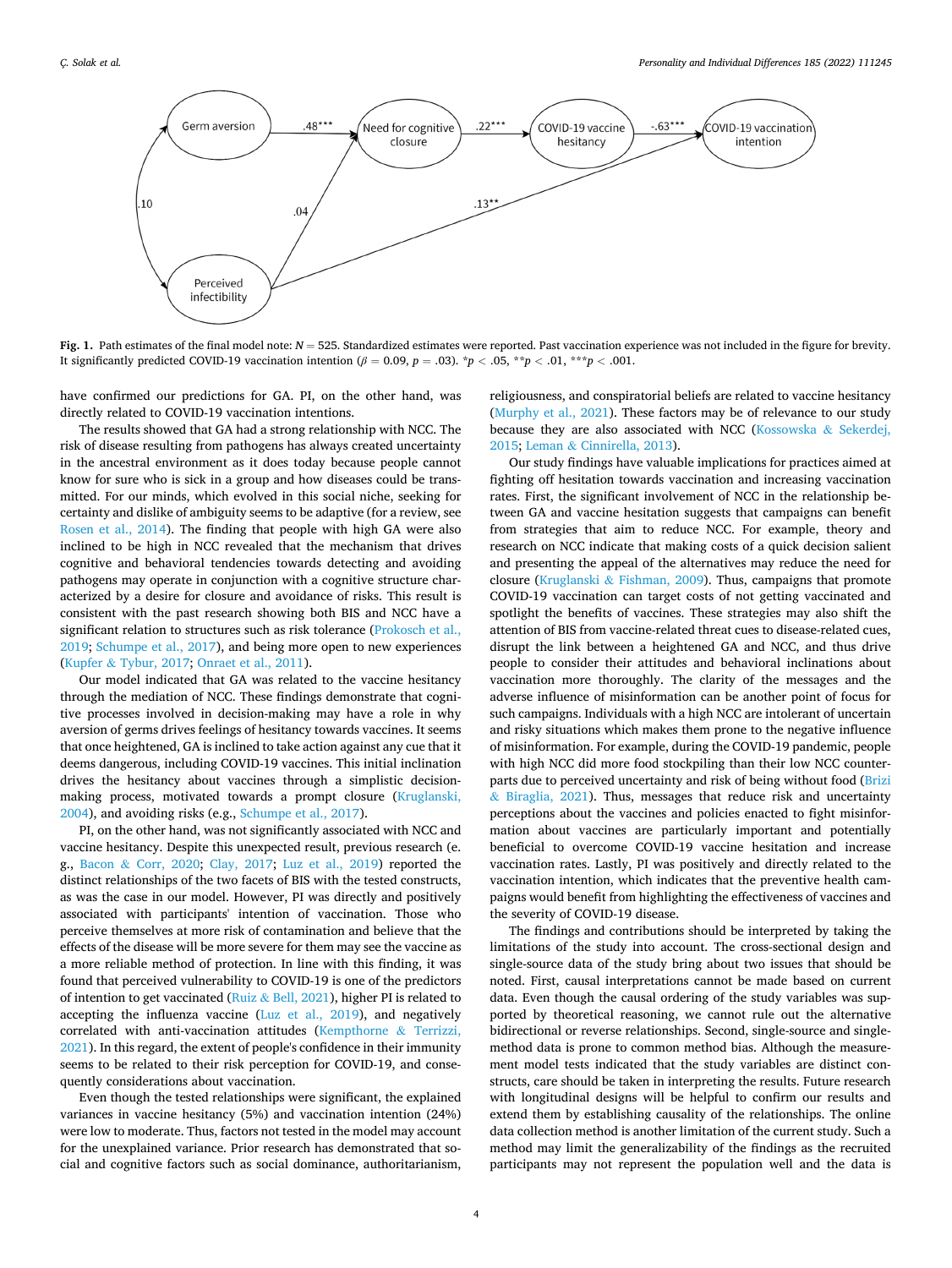<span id="page-3-0"></span>

Fig. 1. Path estimates of the final model note:  $N = 525$ . Standardized estimates were reported. Past vaccination experience was not included in the figure for brevity. It significantly predicted COVID-19 vaccination intention ( $\beta = 0.09$ ,  $p = .03$ ).  $\gamma p < .05$ ,  $\gamma p < .01$ ,  $\gamma p < .001$ .

have confirmed our predictions for GA. PI, on the other hand, was directly related to COVID-19 vaccination intentions.

The results showed that GA had a strong relationship with NCC. The risk of disease resulting from pathogens has always created uncertainty in the ancestral environment as it does today because people cannot know for sure who is sick in a group and how diseases could be transmitted. For our minds, which evolved in this social niche, seeking for certainty and dislike of ambiguity seems to be adaptive (for a review, see [Rosen et al., 2014](#page-4-0)). The finding that people with high GA were also inclined to be high in NCC revealed that the mechanism that drives cognitive and behavioral tendencies towards detecting and avoiding pathogens may operate in conjunction with a cognitive structure characterized by a desire for closure and avoidance of risks. This result is consistent with the past research showing both BIS and NCC have a significant relation to structures such as risk tolerance [\(Prokosch et al.,](#page-4-0)  [2019; Schumpe et al., 2017](#page-4-0)), and being more open to new experiences (Kupfer & [Tybur, 2017;](#page-4-0) [Onraet et al., 2011](#page-4-0)).

Our model indicated that GA was related to the vaccine hesitancy through the mediation of NCC. These findings demonstrate that cognitive processes involved in decision-making may have a role in why aversion of germs drives feelings of hesitancy towards vaccines. It seems that once heightened, GA is inclined to take action against any cue that it deems dangerous, including COVID-19 vaccines. This initial inclination drives the hesitancy about vaccines through a simplistic decisionmaking process, motivated towards a prompt closure ([Kruglanski,](#page-4-0)  [2004\)](#page-4-0), and avoiding risks (e.g., [Schumpe et al., 2017](#page-4-0)).

PI, on the other hand, was not significantly associated with NCC and vaccine hesitancy. Despite this unexpected result, previous research (e. g., Bacon & [Corr, 2020](#page-4-0); [Clay, 2017](#page-4-0); [Luz et al., 2019\)](#page-4-0) reported the distinct relationships of the two facets of BIS with the tested constructs, as was the case in our model. However, PI was directly and positively associated with participants' intention of vaccination. Those who perceive themselves at more risk of contamination and believe that the effects of the disease will be more severe for them may see the vaccine as a more reliable method of protection. In line with this finding, it was found that perceived vulnerability to COVID-19 is one of the predictors of intention to get vaccinated (Ruiz & [Bell, 2021](#page-4-0)), higher PI is related to accepting the influenza vaccine ([Luz et al., 2019\)](#page-4-0), and negatively correlated with anti-vaccination attitudes ([Kempthorne](#page-4-0) & Terrizzi, [2021\)](#page-4-0). In this regard, the extent of people's confidence in their immunity seems to be related to their risk perception for COVID-19, and consequently considerations about vaccination.

Even though the tested relationships were significant, the explained variances in vaccine hesitancy (5%) and vaccination intention (24%) were low to moderate. Thus, factors not tested in the model may account for the unexplained variance. Prior research has demonstrated that social and cognitive factors such as social dominance, authoritarianism,

religiousness, and conspiratorial beliefs are related to vaccine hesitancy ([Murphy et al., 2021](#page-4-0)). These factors may be of relevance to our study because they are also associated with NCC [\(Kossowska](#page-4-0) & Sekerdej, [2015;](#page-4-0) Leman & [Cinnirella, 2013\)](#page-4-0).

Our study findings have valuable implications for practices aimed at fighting off hesitation towards vaccination and increasing vaccination rates. First, the significant involvement of NCC in the relationship between GA and vaccine hesitation suggests that campaigns can benefit from strategies that aim to reduce NCC. For example, theory and research on NCC indicate that making costs of a quick decision salient and presenting the appeal of the alternatives may reduce the need for closure (Kruglanski & [Fishman, 2009](#page-4-0)). Thus, campaigns that promote COVID-19 vaccination can target costs of not getting vaccinated and spotlight the benefits of vaccines. These strategies may also shift the attention of BIS from vaccine-related threat cues to disease-related cues, disrupt the link between a heightened GA and NCC, and thus drive people to consider their attitudes and behavioral inclinations about vaccination more thoroughly. The clarity of the messages and the adverse influence of misinformation can be another point of focus for such campaigns. Individuals with a high NCC are intolerant of uncertain and risky situations which makes them prone to the negative influence of misinformation. For example, during the COVID-19 pandemic, people with high NCC did more food stockpiling than their low NCC counterparts due to perceived uncertainty and risk of being without food [\(Brizi](#page-4-0)  & [Biraglia, 2021](#page-4-0)). Thus, messages that reduce risk and uncertainty perceptions about the vaccines and policies enacted to fight misinformation about vaccines are particularly important and potentially beneficial to overcome COVID-19 vaccine hesitation and increase vaccination rates. Lastly, PI was positively and directly related to the vaccination intention, which indicates that the preventive health campaigns would benefit from highlighting the effectiveness of vaccines and the severity of COVID-19 disease.

The findings and contributions should be interpreted by taking the limitations of the study into account. The cross-sectional design and single-source data of the study bring about two issues that should be noted. First, causal interpretations cannot be made based on current data. Even though the causal ordering of the study variables was supported by theoretical reasoning, we cannot rule out the alternative bidirectional or reverse relationships. Second, single-source and singlemethod data is prone to common method bias. Although the measurement model tests indicated that the study variables are distinct constructs, care should be taken in interpreting the results. Future research with longitudinal designs will be helpful to confirm our results and extend them by establishing causality of the relationships. The online data collection method is another limitation of the current study. Such a method may limit the generalizability of the findings as the recruited participants may not represent the population well and the data is